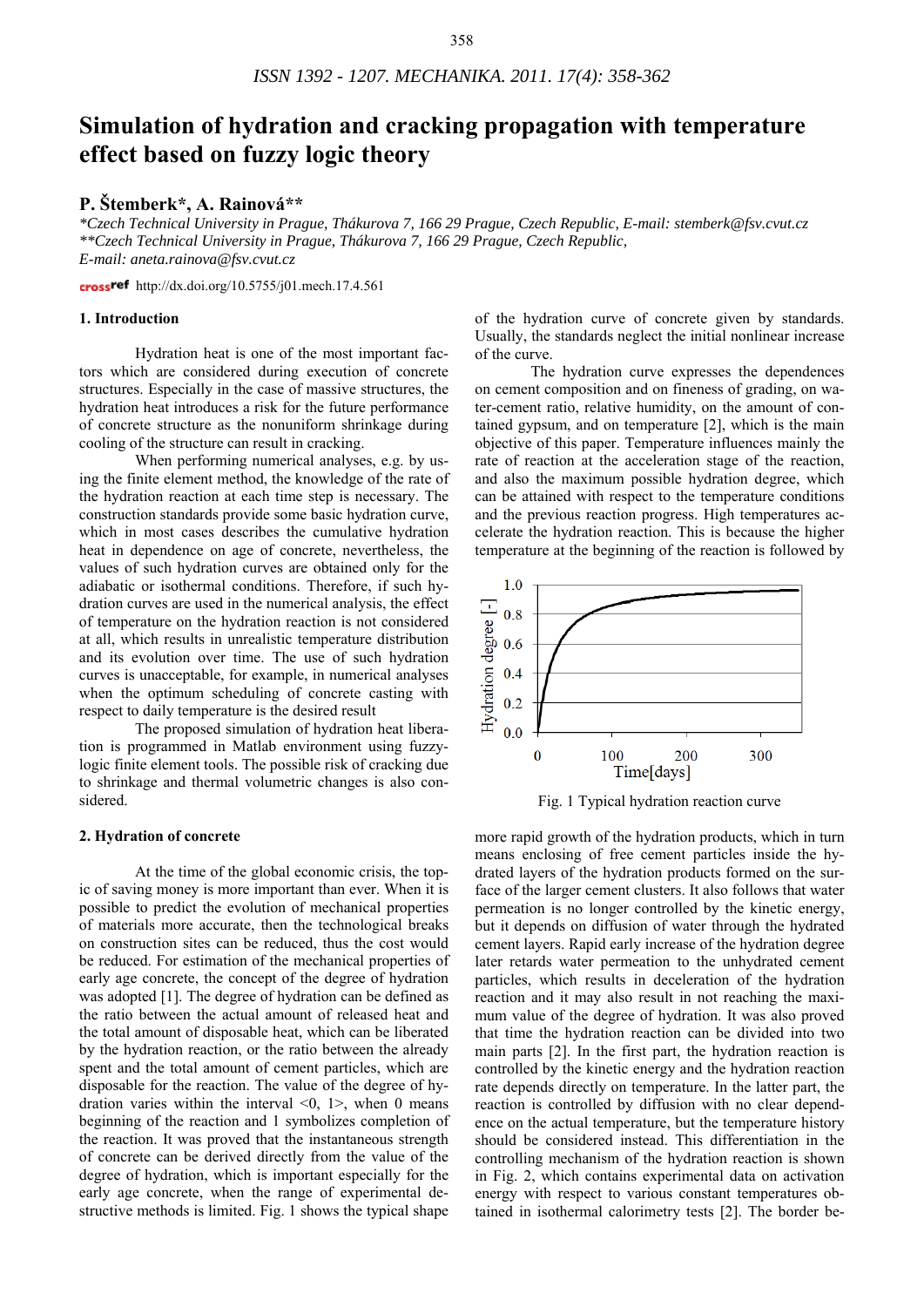# **Simulation of hydration and cracking propagation with temperature effect based on fuzzy logic theory**

# **P. Štemberk\*, A. Rainová\*\***

*\*Czech Technical University in Prague, Thákurova 7, 166 29 Prague, Czech Republic, E-mail: stemberk@fsv.cvut.cz \*\*Czech Technical University in Prague, Thákurova 7, 166 29 Prague, Czech Republic, E-mail: aneta.rainova@fsv.cvut.cz* 

crossref http://dx.doi.org/10.5755/j01.mech.17.4.561

# **1. Introduction**

Hydration heat is one of the most important factors which are considered during execution of concrete structures. Especially in the case of massive structures, the hydration heat introduces a risk for the future performance of concrete structure as the nonuniform shrinkage during cooling of the structure can result in cracking.

When performing numerical analyses, e.g. by using the finite element method, the knowledge of the rate of the hydration reaction at each time step is necessary. The construction standards provide some basic hydration curve, which in most cases describes the cumulative hydration heat in dependence on age of concrete, nevertheless, the values of such hydration curves are obtained only for the adiabatic or isothermal conditions. Therefore, if such hydration curves are used in the numerical analysis, the effect of temperature on the hydration reaction is not considered at all, which results in unrealistic temperature distribution and its evolution over time. The use of such hydration curves is unacceptable, for example, in numerical analyses when the optimum scheduling of concrete casting with respect to daily temperature is the desired result

The proposed simulation of hydration heat liberation is programmed in Matlab environment using fuzzylogic finite element tools. The possible risk of cracking due to shrinkage and thermal volumetric changes is also considered.

# **2. Hydration of concrete**

 At the time of the global economic crisis, the topic of saving money is more important than ever. When it is possible to predict the evolution of mechanical properties of materials more accurate, then the technological breaks on construction sites can be reduced, thus the cost would be reduced. For estimation of the mechanical properties of early age concrete, the concept of the degree of hydration was adopted [1]. The degree of hydration can be defined as the ratio between the actual amount of released heat and the total amount of disposable heat, which can be liberated by the hydration reaction, or the ratio between the already spent and the total amount of cement particles, which are disposable for the reaction. The value of the degree of hydration varies within the interval  $\leq 0$ ,  $1$ , when 0 means beginning of the reaction and 1 symbolizes completion of the reaction. It was proved that the instantaneous strength of concrete can be derived directly from the value of the degree of hydration, which is important especially for the early age concrete, when the range of experimental destructive methods is limited. Fig. 1 shows the typical shape

of the hydration curve of concrete given by standards. Usually, the standards neglect the initial nonlinear increase of the curve.

The hydration curve expresses the dependences on cement composition and on fineness of grading, on water-cement ratio, relative humidity, on the amount of contained gypsum, and on temperature [2], which is the main objective of this paper. Temperature influences mainly the rate of reaction at the acceleration stage of the reaction, and also the maximum possible hydration degree, which can be attained with respect to the temperature conditions and the previous reaction progress. High temperatures accelerate the hydration reaction. This is because the higher temperature at the beginning of the reaction is followed by





more rapid growth of the hydration products, which in turn means enclosing of free cement particles inside the hydrated layers of the hydration products formed on the surface of the larger cement clusters. It also follows that water permeation is no longer controlled by the kinetic energy, but it depends on diffusion of water through the hydrated cement layers. Rapid early increase of the hydration degree later retards water permeation to the unhydrated cement particles, which results in deceleration of the hydration reaction and it may also result in not reaching the maximum value of the degree of hydration. It was also proved that time the hydration reaction can be divided into two main parts [2]. In the first part, the hydration reaction is controlled by the kinetic energy and the hydration reaction rate depends directly on temperature. In the latter part, the reaction is controlled by diffusion with no clear dependence on the actual temperature, but the temperature history should be considered instead. This differentiation in the controlling mechanism of the hydration reaction is shown in Fig. 2, which contains experimental data on activation energy with respect to various constant temperatures obtained in isothermal calorimetry tests [2]. The border be-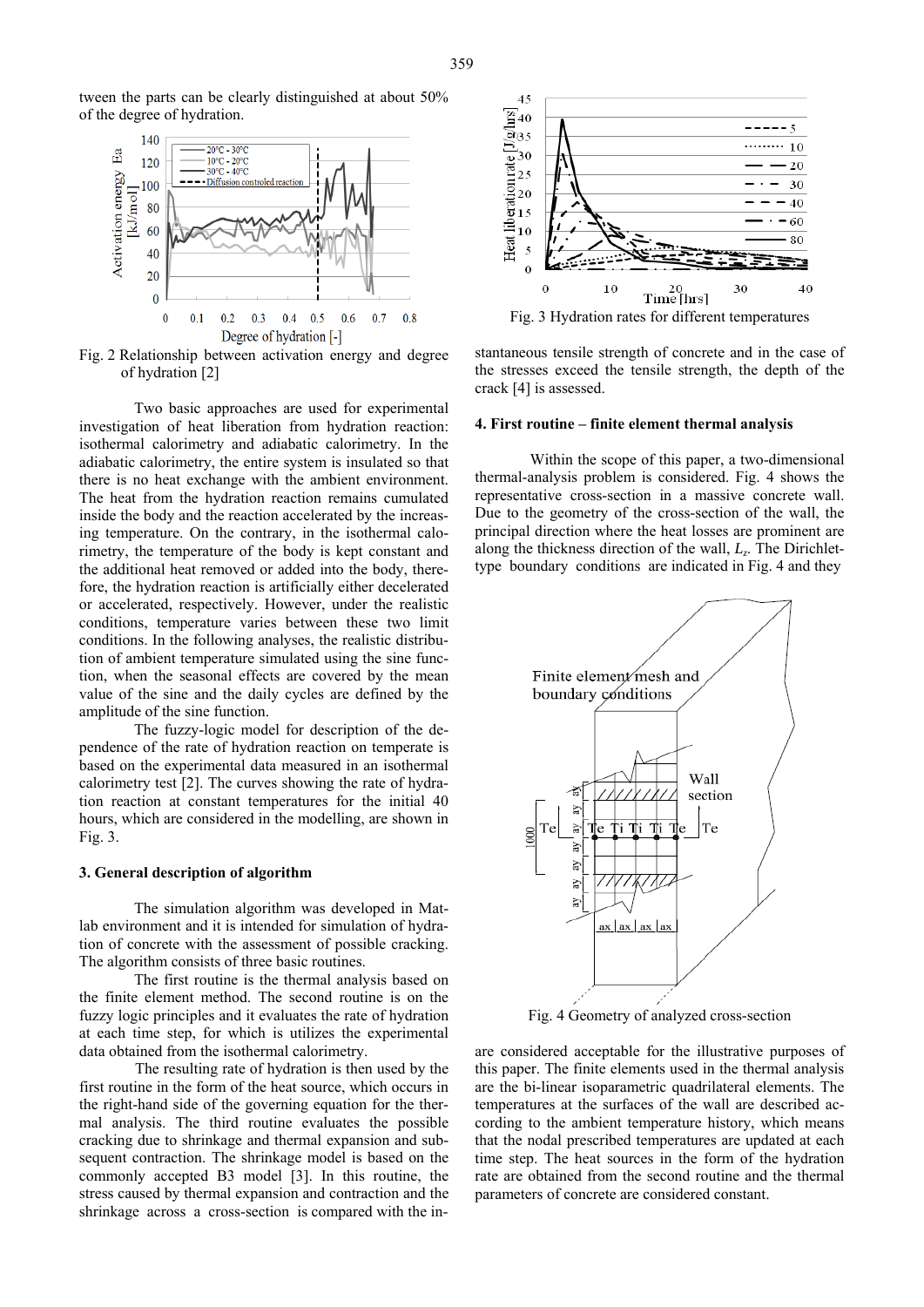

Fig. 2 Relationship between activation energy and degree of hydration [2]

Two basic approaches are used for experimental investigation of heat liberation from hydration reaction: isothermal calorimetry and adiabatic calorimetry. In the adiabatic calorimetry, the entire system is insulated so that there is no heat exchange with the ambient environment. The heat from the hydration reaction remains cumulated inside the body and the reaction accelerated by the increasing temperature. On the contrary, in the isothermal calorimetry, the temperature of the body is kept constant and the additional heat removed or added into the body, therefore, the hydration reaction is artificially either decelerated or accelerated, respectively. However, under the realistic conditions, temperature varies between these two limit conditions. In the following analyses, the realistic distribution of ambient temperature simulated using the sine function, when the seasonal effects are covered by the mean value of the sine and the daily cycles are defined by the amplitude of the sine function.

The fuzzy-logic model for description of the dependence of the rate of hydration reaction on temperate is based on the experimental data measured in an isothermal calorimetry test [2]. The curves showing the rate of hydration reaction at constant temperatures for the initial 40 hours, which are considered in the modelling, are shown in Fig. 3.

# **3. General description of algorithm**

The simulation algorithm was developed in Matlab environment and it is intended for simulation of hydration of concrete with the assessment of possible cracking. The algorithm consists of three basic routines.

The first routine is the thermal analysis based on the finite element method. The second routine is on the fuzzy logic principles and it evaluates the rate of hydration at each time step, for which is utilizes the experimental data obtained from the isothermal calorimetry.

 The resulting rate of hydration is then used by the first routine in the form of the heat source, which occurs in the right-hand side of the governing equation for the thermal analysis. The third routine evaluates the possible cracking due to shrinkage and thermal expansion and subsequent contraction. The shrinkage model is based on the commonly accepted B3 model [3]. In this routine, the stress caused by thermal expansion and contraction and the shrinkage across a cross-section is compared with the in-



stantaneous tensile strength of concrete and in the case of the stresses exceed the tensile strength, the depth of the crack [4] is assessed.

#### **4. First routine – finite element thermal analysis**

Within the scope of this paper, a two-dimensional thermal-analysis problem is considered. Fig. 4 shows the representative cross-section in a massive concrete wall. Due to the geometry of the cross-section of the wall, the principal direction where the heat losses are prominent are along the thickness direction of the wall, *Lz*. The Dirichlettype boundary conditions are indicated in Fig. 4 and they



Fig. 4 Geometry of analyzed cross-section

are considered acceptable for the illustrative purposes of this paper. The finite elements used in the thermal analysis are the bi-linear isoparametric quadrilateral elements. The temperatures at the surfaces of the wall are described according to the ambient temperature history, which means that the nodal prescribed temperatures are updated at each time step. The heat sources in the form of the hydration rate are obtained from the second routine and the thermal parameters of concrete are considered constant.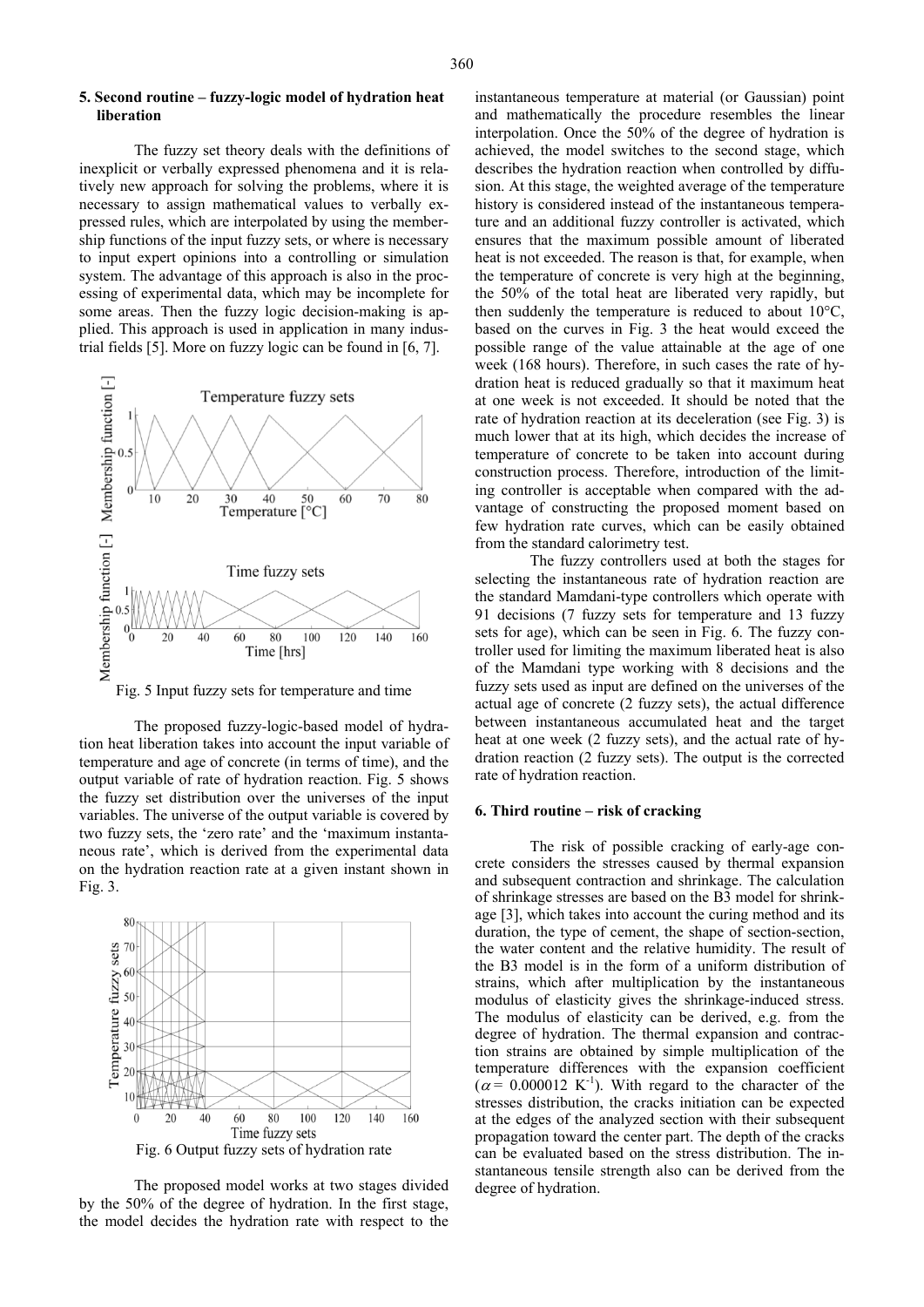### **5. Second routine – fuzzy-logic model of hydration heat liberation**

The fuzzy set theory deals with the definitions of inexplicit or verbally expressed phenomena and it is relatively new approach for solving the problems, where it is necessary to assign mathematical values to verbally expressed rules, which are interpolated by using the membership functions of the input fuzzy sets, or where is necessary to input expert opinions into a controlling or simulation system. The advantage of this approach is also in the processing of experimental data, which may be incomplete for some areas. Then the fuzzy logic decision-making is applied. This approach is used in application in many industrial fields [5]. More on fuzzy logic can be found in [6, 7].



Fig. 5 Input fuzzy sets for temperature and time

The proposed fuzzy-logic-based model of hydration heat liberation takes into account the input variable of temperature and age of concrete (in terms of time), and the output variable of rate of hydration reaction. Fig. 5 shows the fuzzy set distribution over the universes of the input variables. The universe of the output variable is covered by two fuzzy sets, the 'zero rate' and the 'maximum instantaneous rate', which is derived from the experimental data on the hydration reaction rate at a given instant shown in Fig. 3.



The proposed model works at two stages divided by the 50% of the degree of hydration. In the first stage, the model decides the hydration rate with respect to the

instantaneous temperature at material (or Gaussian) point and mathematically the procedure resembles the linear interpolation. Once the 50% of the degree of hydration is achieved, the model switches to the second stage, which describes the hydration reaction when controlled by diffusion. At this stage, the weighted average of the temperature history is considered instead of the instantaneous temperature and an additional fuzzy controller is activated, which ensures that the maximum possible amount of liberated heat is not exceeded. The reason is that, for example, when the temperature of concrete is very high at the beginning, the 50% of the total heat are liberated very rapidly, but then suddenly the temperature is reduced to about 10°C, based on the curves in Fig. 3 the heat would exceed the possible range of the value attainable at the age of one week (168 hours). Therefore, in such cases the rate of hydration heat is reduced gradually so that it maximum heat at one week is not exceeded. It should be noted that the rate of hydration reaction at its deceleration (see Fig. 3) is much lower that at its high, which decides the increase of temperature of concrete to be taken into account during construction process. Therefore, introduction of the limiting controller is acceptable when compared with the advantage of constructing the proposed moment based on few hydration rate curves, which can be easily obtained from the standard calorimetry test.

The fuzzy controllers used at both the stages for selecting the instantaneous rate of hydration reaction are the standard Mamdani-type controllers which operate with 91 decisions (7 fuzzy sets for temperature and 13 fuzzy sets for age), which can be seen in Fig. 6. The fuzzy controller used for limiting the maximum liberated heat is also of the Mamdani type working with 8 decisions and the fuzzy sets used as input are defined on the universes of the actual age of concrete (2 fuzzy sets), the actual difference between instantaneous accumulated heat and the target heat at one week (2 fuzzy sets), and the actual rate of hydration reaction (2 fuzzy sets). The output is the corrected rate of hydration reaction.

#### **6. Third routine – risk of cracking**

The risk of possible cracking of early-age concrete considers the stresses caused by thermal expansion and subsequent contraction and shrinkage. The calculation of shrinkage stresses are based on the B3 model for shrinkage [3], which takes into account the curing method and its duration, the type of cement, the shape of section-section, the water content and the relative humidity. The result of the B3 model is in the form of a uniform distribution of strains, which after multiplication by the instantaneous modulus of elasticity gives the shrinkage-induced stress. The modulus of elasticity can be derived, e.g. from the degree of hydration. The thermal expansion and contraction strains are obtained by simple multiplication of the temperature differences with the expansion coefficient  $(\alpha = 0.000012 \text{ K}^{-1})$ . With regard to the character of the stresses distribution, the cracks initiation can be expected at the edges of the analyzed section with their subsequent propagation toward the center part. The depth of the cracks can be evaluated based on the stress distribution. The instantaneous tensile strength also can be derived from the degree of hydration.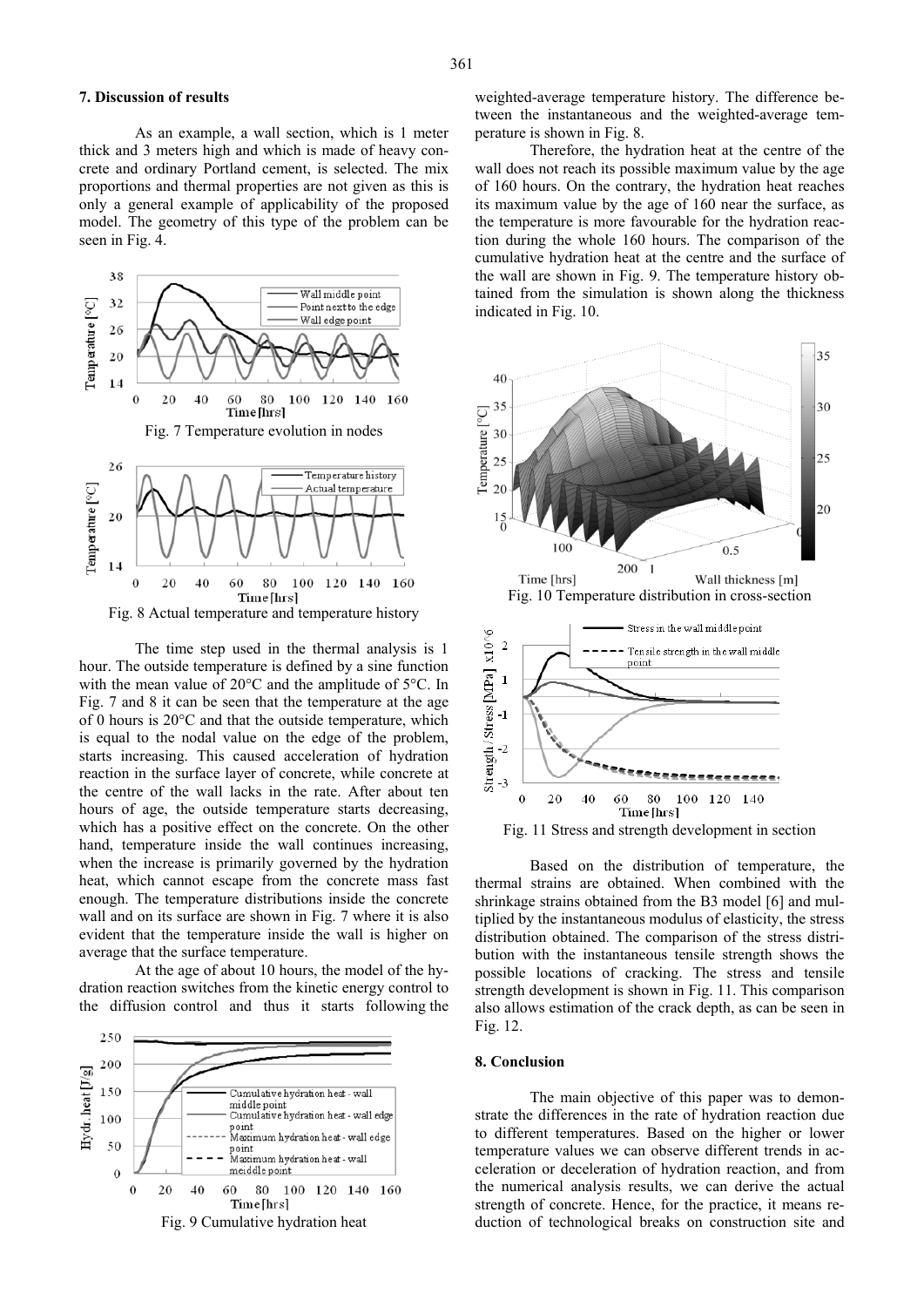As an example, a wall section, which is 1 meter thick and 3 meters high and which is made of heavy concrete and ordinary Portland cement, is selected. The mix proportions and thermal properties are not given as this is only a general example of applicability of the proposed model. The geometry of this type of the problem can be seen in Fig. 4.



 The time step used in the thermal analysis is 1 hour. The outside temperature is defined by a sine function with the mean value of 20°C and the amplitude of 5°C. In Fig. 7 and 8 it can be seen that the temperature at the age of 0 hours is 20°C and that the outside temperature, which is equal to the nodal value on the edge of the problem, starts increasing. This caused acceleration of hydration reaction in the surface layer of concrete, while concrete at the centre of the wall lacks in the rate. After about ten hours of age, the outside temperature starts decreasing, which has a positive effect on the concrete. On the other hand, temperature inside the wall continues increasing. when the increase is primarily governed by the hydration heat, which cannot escape from the concrete mass fast enough. The temperature distributions inside the concrete wall and on its surface are shown in Fig. 7 where it is also evident that the temperature inside the wall is higher on average that the surface temperature.

At the age of about 10 hours, the model of the hydration reaction switches from the kinetic energy control to the diffusion control and thus it starts following the



weighted-average temperature history. The difference between the instantaneous and the weighted-average temperature is shown in Fig. 8.

Therefore, the hydration heat at the centre of the wall does not reach its possible maximum value by the age of 160 hours. On the contrary, the hydration heat reaches its maximum value by the age of 160 near the surface, as the temperature is more favourable for the hydration reaction during the whole 160 hours. The comparison of the cumulative hydration heat at the centre and the surface of the wall are shown in Fig. 9. The temperature history obtained from the simulation is shown along the thickness indicated in Fig. 10.



Based on the distribution of temperature, the thermal strains are obtained. When combined with the shrinkage strains obtained from the B3 model [6] and multiplied by the instantaneous modulus of elasticity, the stress distribution obtained. The comparison of the stress distribution with the instantaneous tensile strength shows the possible locations of cracking. The stress and tensile strength development is shown in Fig. 11. This comparison also allows estimation of the crack depth, as can be seen in Fig. 12.

#### **8. Conclusion**

The main objective of this paper was to demonstrate the differences in the rate of hydration reaction due to different temperatures. Based on the higher or lower temperature values we can observe different trends in acceleration or deceleration of hydration reaction, and from the numerical analysis results, we can derive the actual strength of concrete. Hence, for the practice, it means reduction of technological breaks on construction site and